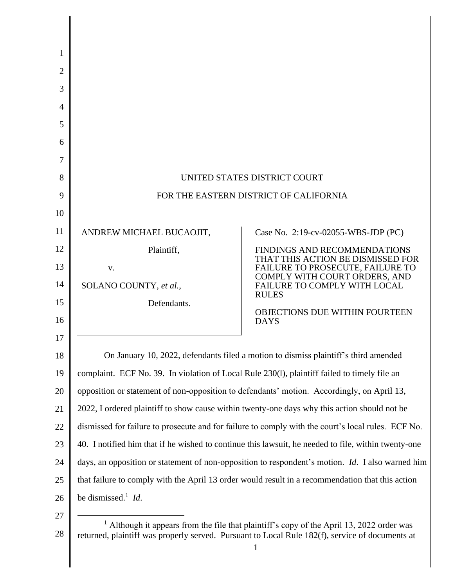| 1  |                                                                                                                                                                                                         |                                                                                                        |  |
|----|---------------------------------------------------------------------------------------------------------------------------------------------------------------------------------------------------------|--------------------------------------------------------------------------------------------------------|--|
| 2  |                                                                                                                                                                                                         |                                                                                                        |  |
| 3  |                                                                                                                                                                                                         |                                                                                                        |  |
| 4  |                                                                                                                                                                                                         |                                                                                                        |  |
| 5  |                                                                                                                                                                                                         |                                                                                                        |  |
| 6  |                                                                                                                                                                                                         |                                                                                                        |  |
| 7  |                                                                                                                                                                                                         |                                                                                                        |  |
| 8  | UNITED STATES DISTRICT COURT                                                                                                                                                                            |                                                                                                        |  |
| 9  | FOR THE EASTERN DISTRICT OF CALIFORNIA                                                                                                                                                                  |                                                                                                        |  |
| 10 |                                                                                                                                                                                                         |                                                                                                        |  |
| 11 | ANDREW MICHAEL BUCAOJIT,                                                                                                                                                                                | Case No. 2:19-cv-02055-WBS-JDP (PC)                                                                    |  |
| 12 | Plaintiff,                                                                                                                                                                                              | FINDINGS AND RECOMMENDATIONS                                                                           |  |
| 13 | V.                                                                                                                                                                                                      | THAT THIS ACTION BE DISMISSED FOR<br>FAILURE TO PROSECUTE, FAILURE TO<br>COMPLY WITH COURT ORDERS, AND |  |
| 14 | SOLANO COUNTY, et al.,                                                                                                                                                                                  | FAILURE TO COMPLY WITH LOCAL<br><b>RULES</b>                                                           |  |
| 15 | Defendants.                                                                                                                                                                                             | <b>OBJECTIONS DUE WITHIN FOURTEEN</b>                                                                  |  |
| 16 |                                                                                                                                                                                                         | <b>DAYS</b>                                                                                            |  |
| 17 |                                                                                                                                                                                                         |                                                                                                        |  |
| 18 | On January 10, 2022, defendants filed a motion to dismiss plaintiff's third amended                                                                                                                     |                                                                                                        |  |
| 19 | complaint. ECF No. 39. In violation of Local Rule 230(1), plaintiff failed to timely file an                                                                                                            |                                                                                                        |  |
| 20 | opposition or statement of non-opposition to defendants' motion. Accordingly, on April 13,                                                                                                              |                                                                                                        |  |
| 21 | 2022, I ordered plaintiff to show cause within twenty-one days why this action should not be                                                                                                            |                                                                                                        |  |
| 22 | dismissed for failure to prosecute and for failure to comply with the court's local rules. ECF No.                                                                                                      |                                                                                                        |  |
| 23 | 40. I notified him that if he wished to continue this lawsuit, he needed to file, within twenty-one                                                                                                     |                                                                                                        |  |
| 24 | days, an opposition or statement of non-opposition to respondent's motion. Id. I also warned him                                                                                                        |                                                                                                        |  |
| 25 | that failure to comply with the April 13 order would result in a recommendation that this action                                                                                                        |                                                                                                        |  |
| 26 | be dismissed. <sup>1</sup> <i>Id.</i>                                                                                                                                                                   |                                                                                                        |  |
| 27 |                                                                                                                                                                                                         |                                                                                                        |  |
| 28 | <sup>1</sup> Although it appears from the file that plaintiff's copy of the April 13, 2022 order was<br>returned, plaintiff was properly served. Pursuant to Local Rule 182(f), service of documents at |                                                                                                        |  |

<sup>1</sup>